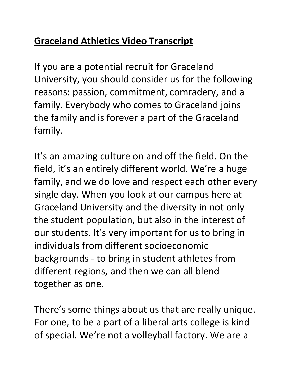## **Graceland Athletics Video Transcript**

If you are a potential recruit for Graceland University, you should consider us for the following reasons: passion, commitment, comradery, and a family. Everybody who comes to Graceland joins the family and is forever a part of the Graceland family.

It's an amazing culture on and off the field. On the field, it's an entirely different world. We're a huge family, and we do love and respect each other every single day. When you look at our campus here at Graceland University and the diversity in not only the student population, but also in the interest of our students. It's very important for us to bring in individuals from different socioeconomic backgrounds - to bring in student athletes from different regions, and then we can all blend together as one.

There's some things about us that are really unique. For one, to be a part of a liberal arts college is kind of special. We're not a volleyball factory. We are a